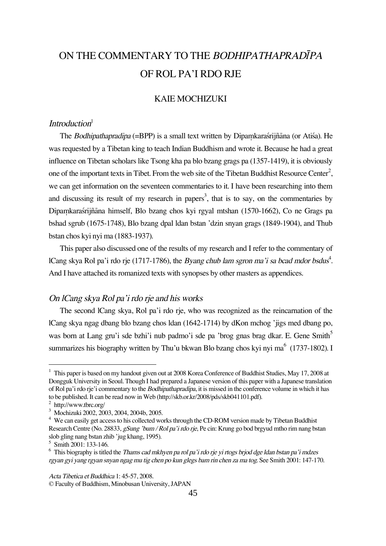# ON THE COMMENTARY TO THE BODHIPATHAPRADIPA OF ROL PA'I RDO RJE

## KAIE MOCHIZUKI

# Introduction<sup>1</sup>

The Bodhipathapradipa (=BPP) is a small text written by Dipamkarastrijñāna (or Atisa). He was requested by a Tibetan king to teach Indian Buddhism and wrote it. Because he had a great influence on Tibetan scholars like Tsong kha pa blo bzang grags pa (1357-1419), it is obviously one of the important texts in Tibet. From the web site of the Tibetan Buddhist Resource Center<sup>2</sup>, we can get information on the seventeen commentaries to it. I have been researching into them and discussing its result of my research in papers<sup>3</sup>, that is to say, on the commentaries by Dipamkaraśrijñāna himself, Blo bzang chos kyi rgyal mtshan (1570-1662), Co ne Grags pa bshad sgrub (1675-1748), Blo bzang dpal ldan bstan 'dzin snyan grags (1849-1904), and Thub bstan chos kyi nyi ma (1883-1937).

This paper also discussed one of the results of my research and I refer to the commentary of lCang skya Rol pa'i rdo rje (1717-1786), the *Byang chub lam sgron ma'i sa bcad mdor bsdus*<sup>4</sup>. And I have attached its romanized texts with synopses by other masters as appendices.

# On lCang skya Rol pa'i rdo rje and his works

The second lCang skya, Rol pa'i rdo rje, who was recognized as the reincarnation of the lCang skya ngag dbang blo bzang chos ldan (1642-1714) by dKon mchog 'jigs med dbang po, was born at Lang gru'i sde bzhi'i nub padmo'i sde pa 'brog gnas brag dkar. E. Gene Smith<sup>5</sup> summarizes his biography written by Thu'u bkwan Blo bzang chos kyi nyi ma $^6$  (1737-1802). I

 $1$  This paper is based on my handout given out at 2008 Korea Conference of Buddhist Studies, May 17, 2008 at Dongguk University in Seoul. Though I had prepared a Japanese version of this paper with a Japanese translation of Rol pa'i rdo rje'i commentary to the Bodhipathapradîpa, it is missed in the conference volume in which it has to be published. It can be read now in Web (http://skb.or.kr/2008/pds/skb041101.pdf).

<sup>2</sup> http://www.tbrc.org/

<sup>3</sup> Mochizuki 2002, 2003, 2004, 2004b, 2005.

<sup>&</sup>lt;sup>4</sup> We can easily get access to his collected works through the CD-ROM version made by Tibetan Buddhist Research Centre (No. 28833, gSung 'bum / Rol pa'i rdo rje, Pe cin: Krung go bod brgyud mtho rim nang bstan slob gling nang bstan zhib 'jug khang, 1995).

<sup>5</sup> Smith 2001: 133-146.

<sup>&</sup>lt;sup>6</sup> This biography is titled the *Thams cad mkhyen pa rol pa'i rdo rje yi rtogs brjod dge ldan bstan pa'i mdzes* rgyan gyi yang rgyan snyan ngag mu tig chen po kun glegs bam rin chen za ma tog. See Smith 2001: 147-170.

Acta Tibetica et Buddhica 1: 45-57, 2008.

<sup>©</sup> Faculty of Buddhism, Minobusan University, JAPAN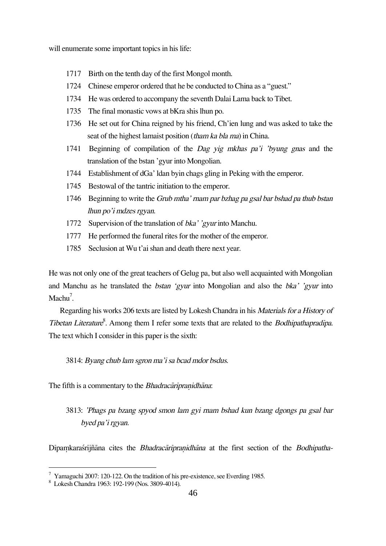will enumerate some important topics in his life:

- 1717 Birth on the tenth day of the first Mongol month.
- 1724 Chinese emperor ordered that he be conducted to China as a "guest."
- 1734 He was ordered to accompany the seventh Dalai Lama back to Tibet.
- 1735 The final monastic vows at bKra shis lhun po.
- 1736 He set out for China reigned by his friend, Ch'ien lung and was asked to take the seat of the highest lamaist position (tham ka bla ma) in China.
- 1741 Beginning of compilation of the Dag yig mkhas pa'i 'byung gnas and the translation of the bstan 'gyur into Mongolian.
- 1744 Establishment of dGa' ldan byin chags gling in Peking with the emperor.
- 1745 Bestowal of the tantric initiation to the emperor.
- 1746 Beginning to write the Grub mtha' rnam par bzhag pa gsal bar bshad pa thub bstan lhun po'i mdzes rgyan.
- 1772 Supervision of the translation of *bka' 'gyur* into Manchu.
- 1777 He performed the funeral rites for the mother of the emperor.
- 1785 Seclusion at Wu t'ai shan and death there next year.

He was not only one of the great teachers of Gelug pa, but also well acquainted with Mongolian and Manchu as he translated the *bstan 'gyur* into Mongolian and also the *bka' 'gyur* into  $Machu<sup>7</sup>$ .

Regarding his works 206 texts are listed by Lokesh Chandra in his Materials for <sup>a</sup> History of Tibetan Literature<sup>8</sup>. Among them I refer some texts that are related to the *Bodhipathapradipa*. The text which I consider in this paper is the sixth:

3814: Byang chub lam sgron ma'i sa bcad mdor bsdus.

The fifth is a commentary to the *Bhadracaripranidhana*:

# 3813: 'Phags pa bzang spyod smon lam gyi rnam bshad kun bzang dgongs pa gsal bar byed pa'i rgyan.

Dipamkaraśrijñāna cites the Bhadracārīpranidhāna at the first section of the Bodhipatha-

 $^7$  Yamaguchi 2007: 120-122. On the tradition of his pre-existence, see Everding 1985.

<sup>8</sup> Lokesh Chandra 1963: 192-199 (Nos. 3809-4014).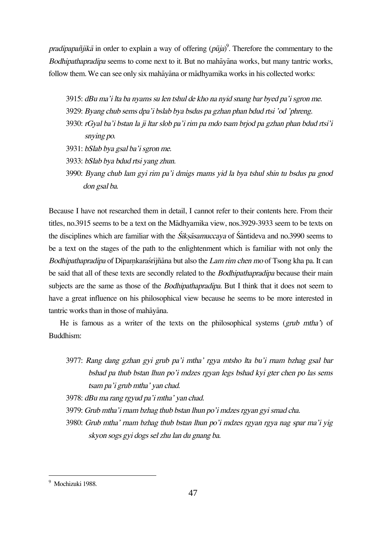pradipapañjikā in order to explain a way of offering ( $p\bar{u}j$ a)<sup>9</sup>. Therefore the commentary to the Bodhipathapradîpa seems to come next to it. But no mahåyåna works, but many tantric works, follow them. We can see only six mahåyåna or mådhyamika works in his collected works:

- 3915: dBu ma'i lta ba nyams su len tshul de kho na nyid snang bar byed pa'i sgron me.
- 3929: Byang chub sems dpa'i bslab bya bsdus pa gzhan phan bdud rtsi 'od 'phreng.
- 3930: rGyal ba'i bstan la ji ltar slob pa'i rim pa mdo tsam brjod pa gzhan phan bdud rtsi'i snying po.
- 3931: bSlab bya gsal ba'i sgron me.
- 3933: bSlab bya bdud rtsi yang zhun.
- 3990: Byang chub lam gyi rim pa'i dmigs rnams yid la bya tshul shin tu bsdus pa gnod don gsal ba.

Because I have not researched them in detail, I cannot refer to their contents here. From their titles, no.3915 seems to be a text on the Mådhyamika view, nos.3929-3933 seem to be texts on the disciplines which are familiar with the Siksasamuccaya of Santideva and no.3990 seems to be a text on the stages of the path to the enlightenment which is familiar with not only the Bodhipathapradīpa of Dīpamkarastrījñāna but also the Lam rim chen mo of Tsong kha pa. It can be said that all of these texts are secondly related to the *Bodhipathapradipa* because their main subjects are the same as those of the *Bodhipathapradipa*. But I think that it does not seem to have a great influence on his philosophical view because he seems to be more interested in tantric works than in those of mahåyåna.

He is famous as a writer of the texts on the philosophical systems (grub mtha') of Buddhism:

- 3977: Rang dang gzhan gyi grub pa'i mtha' rgya mtsho lta bu'i rnam bzhag gsal bar bshad pa thub bstan lhun po'i mdzes rgyan legs bshad kyi gter chen po las sems tsam pa'i grub mtha' yan chad.
- 3978: dBu ma rang rgyud pa'i mtha' yan chad.
- 3979: Grub mtha'i rnam bzhag thub bstan lhun po'i mdzes rgyan gyi smad cha.
- 3980: Grub mtha' rnam bzhag thub bstan lhun po'i mdzes rgyan rgya nag spar ma'i yig skyon sogs gyi dogs sel zhu lan du gnang ba.

<sup>&</sup>lt;sup>9</sup> Mochizuki 1988.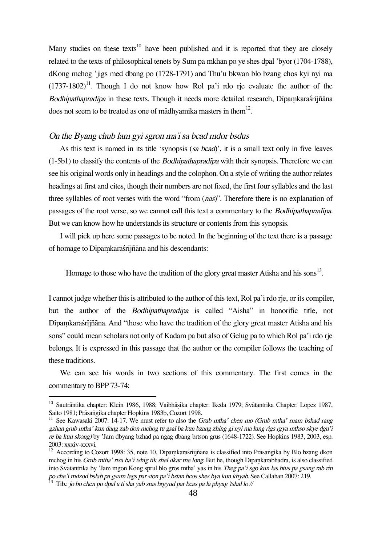Many studies on these texts<sup>10</sup> have been published and it is reported that they are closely related to the texts of philosophical tenets by Sum pa mkhan po ye shes dpal 'byor (1704-1788), dKong mchog 'jigs med dbang po (1728-1791) and Thu'u bkwan blo bzang chos kyi nyi ma  $(1737-1802)^{11}$ . Though I do not know how Rol pa'i rdo rie evaluate the author of the Bodhipathapradīpa in these texts. Though it needs more detailed research, Dīpamkaraśrījñāna does not seem to be treated as one of mādhyamika masters in them<sup>12</sup>.

## On the Byang chub lam gyi sgron ma'i sa bcad mdor bsdus

As this text is named in its title 'synopsis (sa bcad)', it is a small text only in five leaves  $(1-5b1)$  to classify the contents of the *Bodhipathapradipa* with their synopsis. Therefore we can see his original words only in headings and the colophon. On a style of writing the author relates headings at first and cites, though their numbers are not fixed, the first four syllables and the last three syllables of root verses with the word "from (nas)". Therefore there is no explanation of passages of the root verse, so we cannot call this text a commentary to the Bodhipathapradîpa. But we can know how he understands its structure or contents from this synopsis.

I will pick up here some passages to be noted. In the beginning of the text there is a passage of homage to Dipamkaraśrijñāna and his descendants:

Homage to those who have the tradition of the glory great master Atisha and his sons<sup>13</sup>.

I cannot judge whether this is attributed to the author of this text, Rol pa'i rdo rje, or its compiler, but the author of the Bodhipathapradîpa is called "Aisha" in honorific title, not Dipamkaraśrijñāna. And "those who have the tradition of the glory great master Atisha and his sons" could mean scholars not only of Kadam pa but also of Gelug pa to which Rol pa'i rdo rje belongs. It is expressed in this passage that the author or the compiler follows the teaching of these traditions.

We can see his words in two sections of this commentary. The first comes in the commentary to BPP 73-74:

<sup>10</sup> Sautrāntika chapter: Klein 1986, 1988; Vaibhāṣika chapter: Ikeda 1979; Svātantrika Chapter: Lopez 1987, Saito 1981; Prāsangika chapter Hopkins 1983b, Cozort 1998.

<sup>&</sup>lt;sup>11</sup> See Kawasaki 2007: 14-17. We must refer to also the Grub mtha' chen mo (Grub mtha' rnam bshad rang gzhan grub mtha' kun dang zab don mchog tu gsal ba kun bzang zhing gi nyi ma lung rigs rgya mthso skye dgu'i re ba kun skong) by 'Jam dbyang bzhad pa ngag dbang brtson grus (1648-1722). See Hopkins 1983, 2003, esp. 2003: xxxiv-xxxvi.

 $12$  According to Cozort 1998: 35, note 10, Dipamkarastiijñana is classified into Prāsangika by Blo bzang dkon mchog in his Grub mtha' rtsa ba'i tshig tik shel dkar me long. But he, though Dipankarabhadra, is also classified into Svåtantrika by 'Jam mgon Kong sprul blo gros mtha' yas in his Theg pa'i sgo kun las btus pa gsung rab rin po che'i mdzod bslab pa gsum legs par ston pa'i bstan bcos shes bya kun khyab. See Callahan 2007: 219.

<sup>13</sup> Tib.: jo bo chen po dpal <sup>a</sup> ti sha yab sras brgyud par bcas pa la phyag 'tshal lo //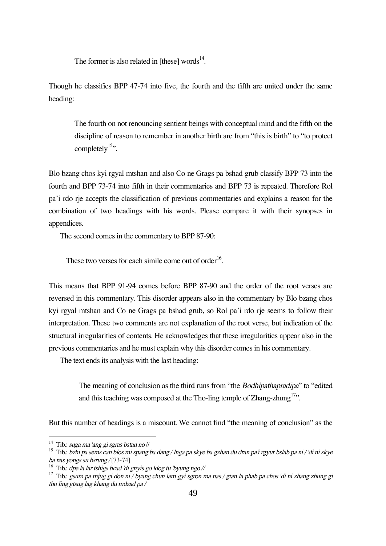The former is also related in [these] words $^{14}$ .

Though he classifies BPP 47-74 into five, the fourth and the fifth are united under the same heading:

The fourth on not renouncing sentient beings with conceptual mind and the fifth on the discipline of reason to remember in another birth are from "this is birth" to "to protect completely $15$ ".

Blo bzang chos kyi rgyal mtshan and also Co ne Grags pa bshad grub classify BPP 73 into the fourth and BPP 73-74 into fifth in their commentaries and BPP 73 is repeated. Therefore Rol pa'i rdo rje accepts the classification of previous commentaries and explains a reason for the combination of two headings with his words. Please compare it with their synopses in appendices.

The second comes in the commentary to BPP 87-90:

These two verses for each simile come out of order $^{16}$ .

This means that BPP 91-94 comes before BPP 87-90 and the order of the root verses are reversed in this commentary. This disorder appears also in the commentary by Blo bzang chos kyi rgyal mtshan and Co ne Grags pa bshad grub, so Rol pa'i rdo rje seems to follow their interpretation. These two comments are not explanation of the root verse, but indication of the structural irregularities of contents. He acknowledges that these irregularities appear also in the previous commentaries and he must explain why this disorder comes in his commentary.

The text ends its analysis with the last heading:

The meaning of conclusion as the third runs from "the Bodhipathapradîpa" to "edited and this teaching was composed at the Tho-ling temple of Zhang-zhung<sup>17</sup>.

But this number of headings is a miscount. We cannot find "the meaning of conclusion" as the

<sup>&</sup>lt;sup>14</sup> Tib.: snga ma 'ang gi sgras bstan no //

<sup>15</sup> Tib.: bzhi pa sems can blos mi spang ba dang / lnga pa skye ba gzhan du dran pa'i rgyur bslab pa ni / 'di ni skye ba nas yongs su bsrung / [73-74]

<sup>&</sup>lt;sup>16</sup> Tib.: dpe la lar tshigs bcad 'di gnyis go ldog tu 'byung ngo //

 $17$  Tib.: gsum pa mjug gi don ni / byang chun lam gyi sgron ma nas / gtan la phab pa chos 'di ni zhang zhung gi tho ling gtsug lag khang du mdzad pa /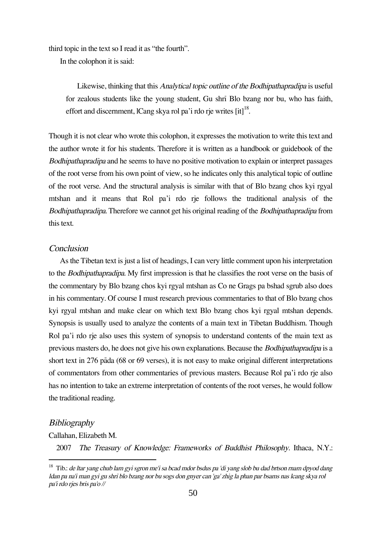third topic in the text so I read it as "the fourth".

In the colophon it is said:

Likewise, thinking that this Analytical topic outline of the Bodhipathapradîpa is useful for zealous students like the young student, Gu shrî Blo bzang nor bu, who has faith, effort and discernment, lCang skya rol pa'i rdo rje writes [it] $^{18}$ .

Though it is not clear who wrote this colophon, it expresses the motivation to write this text and the author wrote it for his students. Therefore it is written as a handbook or guidebook of the Bodhipathapradîpa and he seems to have no positive motivation to explain or interpret passages of the root verse from his own point of view, so he indicates only this analytical topic of outline of the root verse. And the structural analysis is similar with that of Blo bzang chos kyi rgyal mtshan and it means that Rol pa'i rdo rje follows the traditional analysis of the Bodhipathapradîpa. Therefore we cannot get his original reading of the Bodhipathapradîpa from this text.

#### **Conclusion**

As the Tibetan text is just a list of headings, I can very little comment upon his interpretation to the Bodhipathapradîpa. My first impression is that he classifies the root verse on the basis of the commentary by Blo bzang chos kyi rgyal mtshan as Co ne Grags pa bshad sgrub also does in his commentary. Of course I must research previous commentaries to that of Blo bzang chos kyi rgyal mtshan and make clear on which text Blo bzang chos kyi rgyal mtshan depends. Synopsis is usually used to analyze the contents of a main text in Tibetan Buddhism. Though Rol pa'i rdo rje also uses this system of synopsis to understand contents of the main text as previous masters do, he does not give his own explanations. Because the Bodhipathapradîpa is a short text in 276 påda (68 or 69 verses), it is not easy to make original different interpretations of commentators from other commentaries of previous masters. Because Rol pa'i rdo rje also has no intention to take an extreme interpretation of contents of the root verses, he would follow the traditional reading.

# **Bibliography**

Callahan, Elizabeth M.

2007 The Treasury of Knowledge: Frameworks of Buddhist Philosophy. Ithaca, N.Y.:

 $18$  Tib.: de ltar yang chub lam gyi sgron me'i sa bcad mdor bsdus pa 'di yang slob bu dad brtson rnam dpyod dang ldan pa na'i man gyi gu shrî blo bzang nor bu sogs don gnyer can 'ga' zhig la phan par bsams nas lcang skya rol pa'i rdo rjes bris pa'o //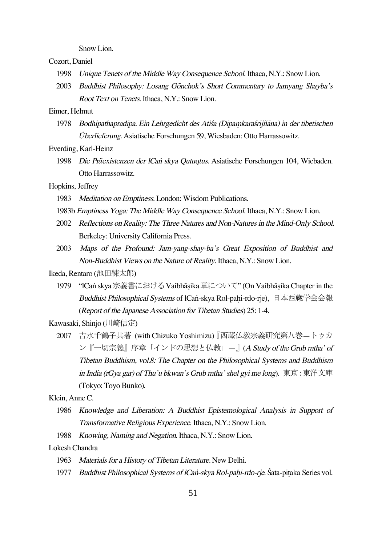Snow Lion.

Cozort, Daniel

- 1998 Unique Tenets of the Middle Way Consequence School. Ithaca, N.Y.: Snow Lion.
- 2003 Buddhist Philosophy: Losang Gönchok's Short Commentary to Jamyang Shayba's Root Text on Tenets. Ithaca, N.Y.: Snow Lion.

## Eimer, Helmut

1978 Bodhipathapradīpa. Ein Lehrgedicht des Atisa (Dīpamkaraśrījñāna) in der tibetischen *Ü*berlieferung. Asiatische Forschungen 59, Wiesbaden: Otto Harrassowitz.

Everding, Karl-Heinz

1998 Die Präexistenzen der *ICan skya Qutuqtus*. Asiatische Forschungen 104, Wiebaden. Otto Harrassowitz.

# Hopkins, Jeffrey

- 1983 Meditation on Emptiness. London: Wisdom Publications.
- 1983b Emptiness Yoga: The Middle Way Consequence School. Ithaca, N.Y.: Snow Lion.
- 2002 Reflections on Reality: The Three Natures and Non-Natures in the Mind-Only School. Berkeley: University California Press.
- 2003 Maps of the Profound: Jam-yang-shay-ba's Great Exposition of Buddhist and Non-Buddhist Views on the Nature of Reality. Ithaca, N.Y.: Snow Lion.

Ikeda, Rentaro (池田練太郎)

1979 "lCa© skya宗義書におけるVaibhå≈ika章について" (On Vaibhå≈ika Chapter in the Buddhist Philosophical Systems of lCan-skya Rol-pahi-rdo-rje), 日本西蔵学会会報 (Report of the Japanese Association for Tibetan Studies) 25: 1-4.

Kawasaki, Shinjo (川崎信定)

2007 吉水千鶴子共著 (with Chizuko Yoshimizu)『西蔵仏教宗義研究第八巻—トゥカ ン『一切宗義』序章「インドの思想と仏教」—』(A Study of the Grub mtha' of Tibetan Buddhism, vol.8: The Chapter on the Philosophical Systems and Buddhism in India (rGya gar) of Thu'u bkwan's Grub mtha' shel gyi me long). 東京: 東洋文庫 (Tokyo: Toyo Bunko).

Klein, Anne C.

- 1986 Knowledge and Liberation: <sup>A</sup> Buddhist Epistemological Analysis in Support of Transformative Religious Experience. Ithaca, N.Y.: Snow Lion.
- 1988 Knowing, Naming and Negation. Ithaca, N.Y.: Snow Lion.

#### Lokesh Chandra

- 1963 Materials for <sup>a</sup> History of Tibetan Literature. New Delhi.
- 1977 Buddhist Philosophical Systems of lCan-skya Rol-pahi-rdo-rje. Śata-pitaka Series vol.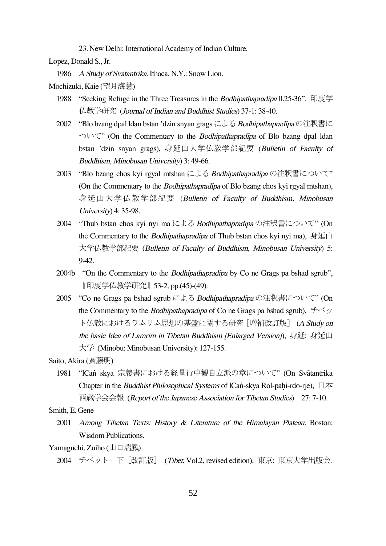23. New Delhi: International Academy of Indian Culture.

Lopez, Donald S., Jr.

1986 <sup>A</sup> Study of Svåtantrika. Ithaca, N.Y.: Snow Lion.

Mochizuki, Kaie (望月海慧)

- 1988 "Seeking Refuge in the Three Treasures in the *Bodhipathapradipa* 11.25-36", 印度学 仏教学研究 (Journal of Indian and Buddhist Studies) 37-1: 38-40.
- 2002 "Blo bzang dpal ldan bstan 'dzin snyan gragsによる Bodhipathapradīpaの注釈書に ついて" (On the Commentary to the Bodhipathapradîpa of Blo bzang dpal ldan bstan 'dzin snyan grags), 身延山大学仏教学部紀要 (Bulletin of Faculty of Buddhism, Minobusan University) 3: 49-66.
- 2003 "Blo bzang chos kyi rgyal mtshan による Bodhipathapradīpa の注釈書について" (On the Commentary to the Bodhipathapradîpa of Blo bzang chos kyi rgyal mtshan), 身延山大学仏教学部紀要 (Bulletin of Faculty of Buddhism, Minobusan University) 4: 35-98.
- 2004 "Thub bstan chos kyi nyi ma による Bodhipathapradipa の注釈書について" (On the Commentary to the *Bodhipathapradipa* of Thub bstan chos kyi nyi ma), 身延山 大学仏教学部紀要 (Bulletin of Faculty of Buddhism, Minobusan University) 5: 9-42.
- 2004b "On the Commentary to the Bodhipathapradîpa by Co ne Grags pa bshad sgrub", 『印度学仏教学研究』53-2, pp.(45)-(49).
- 2005 "Co ne Grags pa bshad sgrub による Bodhipathapradipa の注釈書について" (On the Commentary to the *Bodhipathapradipa* of Co ne Grags pa bshad sgrub),  $f \circ \psi$ ト仏教におけるラムリム思想の基盤に関する研究 [増補改訂版] (A Study on the basic Idea of Lamrim in Tibetan Buddhism [Enlarged Version]), 身延: 身延山 大学 (Minobu: Minobusan University): 127-155.

Saito, Akira (斎藤明)

1981 "ICan skya 宗義書における経量行中観自立派の章について" (On Svātantrika Chapter in the Buddhist Philosophical Systems of lCan-skya Rol-pahi-rdo-rje), 日本 西蔵学会会報 (Report of the Japanese Association for Tibetan Studies) 27: 7-10.

Smith, E. Gene

2001 Among Tibetan Texts: History & Literature of the Himalayan Plateau. Boston: Wisdom Publications.

Yamaguchi, Zuiho (山口瑞鳳)

<sup>2004</sup> チベット 下[改訂版] (Tibet, Vol.2, revised edition), 東京: 東京大学出版会.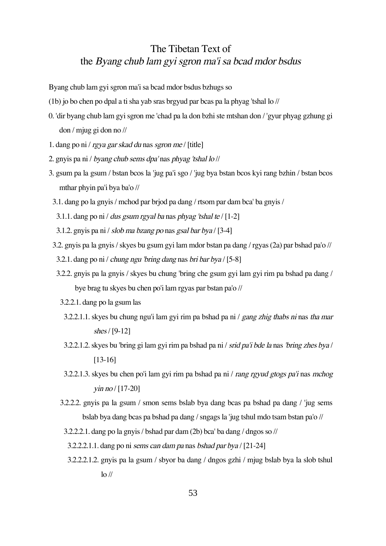# The Tibetan Text of the Byang chub lam gyi sgron ma'i sa bcad mdor bsdus

Byang chub lam gyi sgron ma'i sa bcad mdor bsdus bzhugs so

- (1b) jo bo chen po dpal a ti sha yab sras brgyud par bcas pa la phyag 'tshal lo //
- 0. 'dir byang chub lam gyi sgron me 'chad pa la don bzhi ste mtshan don / 'gyur phyag gzhung gi don / mjug gi don no //
- 1. dang po ni / rgya gar skad du nas sgron me / [title]
- 2. gnyis pa ni / byang chub sems dpa' nas phyag 'tshal lo //
- 3. gsum pa la gsum / bstan bcos la 'jug pa'i sgo / 'jug bya bstan bcos kyi rang bzhin / bstan bcos mthar phyin pa'i bya ba'o //
- 3.1. dang po la gnyis / mchod par brjod pa dang / rtsom par dam bca' ba gnyis /
- 3.1.1. dang po ni / dus gsum rgyal ba nas phyag 'tshal te / [1-2]
- 3.1.2. gny is pa ni / slob ma bzang po nas gsal bar bya /  $[3-4]$
- 3.2. gnyis pa la gnyis / skyes bu gsum gyi lam mdor bstan pa dang / rgyas (2a) par bshad pa'o //
- 3.2.1. dang po ni / chung ngu 'bring dang nas bri bar bya / [5-8]
- 3.2.2. gnyis pa la gnyis / skyes bu chung 'bring che gsum gyi lam gyi rim pa bshad pa dang / bye brag tu skyes bu chen po'i lam rgyas par bstan pa'o //
	- 3.2.2.1. dang po la gsum las
	- 3.2.2.1.1. skyes bu chung ngu'i lam gyi rim pa bshad pa ni / gang zhig thabs ni nas tha mar shes/ [9-12]
	- 3.2.2.1.2. skyes bu 'bring gi lam gyi rim pa bshad pa ni / srid pa'i bde la nas 'bring zhes bya / [13-16]
	- 3.2.2.1.3. skyes bu chen po'i lam gyi rim pa bshad pa ni / rang rgyud gtogs pa'i nas mchog  $\sin$  no  $/[17-20]$
	- 3.2.2.2. gnyis pa la gsum / smon sems bslab bya dang bcas pa bshad pa dang / 'jug sems bslab bya dang bcas pa bshad pa dang / sngags la 'jug tshul mdo tsam bstan pa'o //
	- 3.2.2.2.1. dang po la gnyis / bshad par dam (2b) bca' ba dang / dngos so //

3.2.2.2.1.1. dang po ni sems can dam pa nas bshad par bya  $\lceil 21-24 \rceil$ 

3.2.2.2.1.2. gnyis pa la gsum / sbyor ba dang / dngos gzhi / mjug bslab bya la slob tshul  $\log$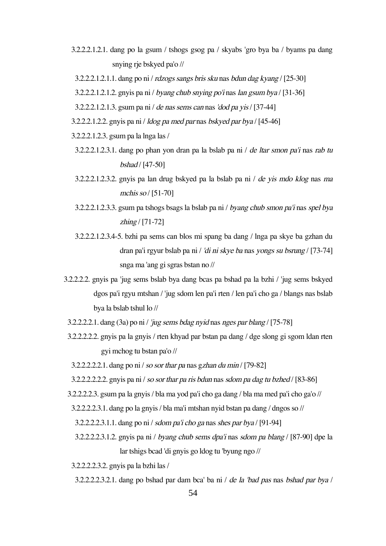- 3.2.2.2.1.2.1. dang po la gsum / tshogs gsog pa / skyabs 'gro bya ba / byams pa dang snying rje bskyed pa'o //
- 3.2.2.2.1.2.1.1. dang po ni / rdzogs sangs bris sku nas bdun dag kyang / [25-30]

3.2.2.2.1.2.1.2. gnyis pa ni / byang chub snying po'i nas lan gsum bya / [31-36]

- 3.2.2.2.1.2.1.3. gsum pa ni / de nas sems can nas'dod pa yis/ [37-44]
- 3.2.2.2.1.2.2. gnyis pa ni / ldog pa med par nas bskyed par bya / [45-46]
- 3.2.2.2.1.2.3. gsum pa la lnga las /
- 3.2.2.2.1.2.3.1. dang po phan yon dran pa la bslab pa ni / de ltar smon pa'i nas rab tu bshad / [47-50]
- 3.2.2.2.1.2.3.2. gnyis pa lan drug bskyed pa la bslab pa ni / de yis mdo klog nas ma mchis so / [51-70]
- 3.2.2.2.1.2.3.3. gsum pa tshogs bsags la bslab pa ni / byang chub smon pa'i nas spel bya zhing / [71-72]
- 3.2.2.2.1.2.3.4-5. bzhi pa sems can blos mi spang ba dang / lnga pa skye ba gzhan du dran pa'i rgyur bslab pa ni / 'di ni skye ba nas yongs su bsrung / [73-74] snga ma 'ang gi sgras bstan no //
- 3.2.2.2.2. gnyis pa 'jug sems bslab bya dang bcas pa bshad pa la bzhi / 'jug sems bskyed dgos pa'i rgyu mtshan / 'jug sdom len pa'i rten / len pa'i cho ga / blangs nas bslab bya la bslab tshul lo //
- 3.2.2.2.2.1. dang (3a) po ni / 'jug sems bdag nyid nas nges par blang / [75-78]
- 3.2.2.2.2.2. gnyis pa la gnyis / rten khyad par bstan pa dang / dge slong gi sgom ldan rten gyi mchog tu bstan pa'o //
	- 3.2.2.2.2.2.1. dang po ni / so sor thar pa nas gzhan du min / [79-82]
	- 3.2.2.2.2.2.2. gny is pa ni / so sor thar pa ris bdun nas sdom pa dag tu bzhed  $/$  [83-86]
- 3.2.2.2.2.3. gsum pa la gnyis / bla ma yod pa'i cho ga dang / bla ma med pa'i cho ga'o //
- 3.2.2.2.2.3.1. dang po la gnyis / bla ma'i mtshan nyid bstan pa dang / dngos so //
	- 3.2.2.2.2.3.1.1. dang po ni / sdom pa'i cho ga nas shes par bya / [91-94]
	- 3.2.2.2.2.3.1.2. gnyis pa ni / byang chub sems dpa'i nas sdom pa blang / [87-90] dpe la lar tshigs bcad 'di gnyis go ldog tu 'byung ngo //

3.2.2.2.2.3.2. gnyis pa la bzhi las /

3.2.2.2.2.3.2.1. dang po bshad par dam bca' ba ni / de la 'bad pas nas bshad par bya /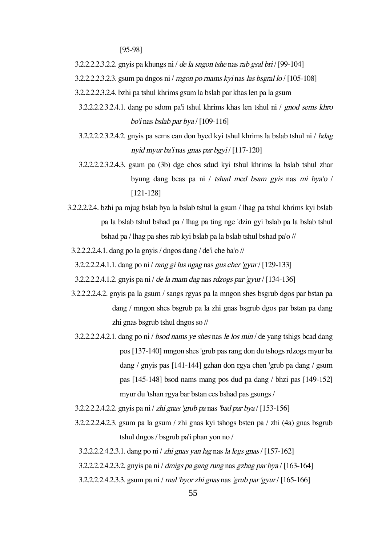[95-98]

3.2.2.2.2.3.2.2. gny is pa khungs ni / de la sngon tshe nas rab gsal bri /  $[99-104]$ 

3.2.2.2.2.3.2.3. gsum pa dngos ni / mgon po rnams kyi nas las bsgral lo /  $[105-108]$ 

3.2.2.2.2.3.2.4. bzhi pa tshul khrims gsum la bslab par khas len pa la gsum

- 3.2.2.2.2.3.2.4.1. dang po sdom pa'i tshul khrims khas len tshul ni / gnod sems khro bo'i nas bslab par bya / [109-116]
- 3.2.2.2.2.3.2.4.2. gnyis pa sems can don byed kyi tshul khrims la bslab tshul ni / bdag nyid myur ba'i nas gnas par bgyi / [117-120]
- 3.2.2.2.2.3.2.4.3. gsum pa (3b) dge chos sdud kyi tshul khrims la bslab tshul zhar byung dang bcas pa ni / tshad med bsam gyis nas mi bya'o / [121-128]
- 3.2.2.2.2.4. bzhi pa mjug bslab bya la bslab tshul la gsum / lhag pa tshul khrims kyi bslab pa la bslab tshul bshad pa / lhag pa ting nge 'dzin gyi bslab pa la bslab tshul bshad pa / lhag pa shes rab kyi bslab pa la bslab tshul bshad pa'o //
- 3.2.2.2.2.4.1. dang po la gnyis / dngos dang / de'i che ba'o //
- 3.2.2.2.2.4.1.1. dang po ni / rang gi lus ngag nas gus cher 'gyur / [129-133]
- 3.2.2.2.2.4.1.2. gny is pa ni / de la rnam dag nas rdzogs par 'gyur / [134-136]
- 3.2.2.2.2.4.2. gnyis pa la gsum / sangs rgyas pa la mngon shes bsgrub dgos par bstan pa dang / mngon shes bsgrub pa la zhi gnas bsgrub dgos par bstan pa dang zhi gnas bsgrub tshul dngos so //
- 3.2.2.2.2.4.2.1. dang po ni / bsod nams ye shes nas le los min / de yang tshigs bcad dang pos [137-140] mngon shes 'grub pas rang don du tshogs rdzogs myur ba dang / gnyis pas [141-144] gzhan don rgya chen 'grub pa dang / gsum pas [145-148] bsod nams mang pos dud pa dang / bhzi pas [149-152] myur du 'tshan rgya bar bstan ces bshad pas gsungs /
- 3.2.2.2.2.4.2.2. gnyis pa ni / zhi gnas 'grub pa nas'bad par bya / [153-156]
- 3.2.2.2.2.4.2.3. gsum pa la gsum / zhi gnas kyi tshogs bsten pa / zhi (4a) gnas bsgrub tshul dngos / bsgrub pa'i phan yon no /
- 3.2.2.2.2.4.2.3.1. dang po ni / zhi gnas yan lag nas la legs gnas / [157-162]

3.2.2.2.2.4.2.3.2. gnyis pa ni / dmigs pa gang rung nas gzhag par bya / [163-164]

3.2.2.2.2.4.2.3.3. gsum pa ni / rnal 'byor zhi gnas nas'grub par 'gyur / [165-166]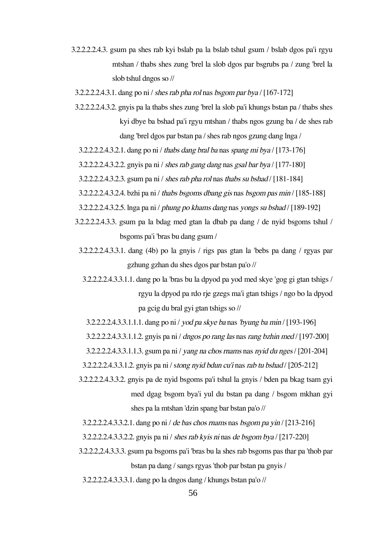- 3.2.2.2.2.4.3. gsum pa shes rab kyi bslab pa la bslab tshul gsum / bslab dgos pa'i rgyu mtshan / thabs shes zung 'brel la slob dgos par bsgrubs pa / zung 'brel la slob tshul dngos so //
	- 3.2.2.2.2.4.3.1. dang po ni / shes rab pha rol nas bsgom par bya /  $[167-172]$
	- 3.2.2.2.2.4.3.2. gnyis pa la thabs shes zung 'brel la slob pa'i khungs bstan pa / thabs shes kyi dbye ba bshad pa'i rgyu mtshan / thabs ngos gzung ba / de shes rab dang 'brel dgos par bstan pa / shes rab ngos gzung dang lnga /
	- $3.2.2.2.2.4.3.2.1$ . dang po ni / thabs dang bral ba nas spang mi bya / [173-176]
	- 3.2.2.2.2.4.3.2.2. gny is pa ni / shes rab gang dang nas gsal bar bya / [177-180]
	- $3.2.2.2.2.4.3.2.3.$  gsum pa ni / shes rab pha rol nas thabs su bshad / [181-184]
	- 3.2.2.2.2.4.3.2.4. bzhi pa ni / thabs bsgoms dbang gis nas bsgom pas min / [185-188]
	- 3.2.2.2.2.4.3.2.5. lnga pa ni / phung po khams dang nas yongs su bshad / [189-192]
	- 3.2.2.2.2.4.3.3. gsum pa la bdag med gtan la dbab pa dang / de nyid bsgoms tshul / bsgoms pa'i 'bras bu dang gsum /
		- 3.2.2.2.2.4.3.3.1. dang (4b) po la gnyis / rigs pas gtan la 'bebs pa dang / rgyas par gzhung gzhan du shes dgos par bstan pa'o //
			- 3.2.2.2.2.4.3.3.1.1. dang po la 'bras bu la dpyod pa yod med skye 'gog gi gtan tshigs / rgyu la dpyod pa rdo rje gzegs ma'i gtan tshigs / ngo bo la dpyod pa gcig du bral gyi gtan tshigs so //
			- 3.2.2.2.2.4.3.3.1.1.1. dang po ni / yod pa skye ba nas'byung ba min / [193-196]

3.2.2.2.2.4.3.3.1.1.2. gnyis pa ni / dngos po rang las nasrang bzhin med / [197-200]

3.2.2.2.2.4.3.3.1.1.3. gsum pa ni / yang na chos rnams nas nyid du nges/ [201-204]

3.2.2.2.2.4.3.3.1.2. gnyis pa ni / stong nyid bdun cu'i nasrab tu bshad / [205-212]

3.2.2.2.2.4.3.3.2. gnyis pa de nyid bsgoms pa'i tshul la gnyis / bden pa bkag tsam gyi med dgag bsgom bya'i yul du bstan pa dang / bsgom mkhan gyi shes pa la mtshan 'dzin spang bar bstan pa'o //

3.2.2.2.2.4.3.3.2.1. dang po ni / de bas chos rnams nas bsgom pa yin / [213-216]

- $3.2.2.2.2.4.3.3.2.2.$  gny is pa ni / shes rab ky is ni nas de bsgom by a / [217-220]
- 3.2.2.2,2.4.3.3.3. gsum pa bsgoms pa'i 'bras bu la shes rab bsgoms pas thar pa 'thob par bstan pa dang / sangs rgyas 'thob par bstan pa gnyis /
	- 3.2.2.2.2.4.3.3.3.1. dang po la dngos dang / khungs bstan pa'o //